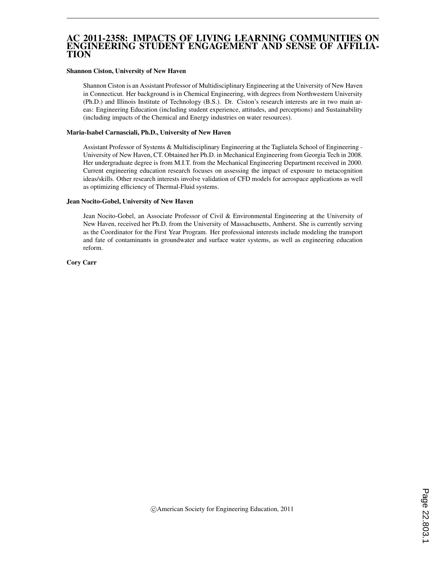#### AC 2011-2358: IMPACTS OF LIVING LEARNING COMMUNITIES ON ENGINEERING STUDENT ENGAGEMENT AND SENSE OF AFFILIA-TION

#### Shannon Ciston, University of New Haven

Shannon Ciston is an Assistant Professor of Multidisciplinary Engineering at the University of New Haven in Connecticut. Her background is in Chemical Engineering, with degrees from Northwestern University (Ph.D.) and Illinois Institute of Technology (B.S.). Dr. Ciston's research interests are in two main areas: Engineering Education (including student experience, attitudes, and perceptions) and Sustainability (including impacts of the Chemical and Energy industries on water resources).

#### Maria-Isabel Carnasciali, Ph.D., University of New Haven

Assistant Professor of Systems & Multidisciplinary Engineering at the Tagliatela School of Engineering - University of New Haven, CT. Obtained her Ph.D. in Mechanical Engineering from Georgia Tech in 2008. Her undergraduate degree is from M.I.T. from the Mechanical Engineering Department received in 2000. Current engineering education research focuses on assessing the impact of exposure to metacognition ideas/skills. Other research interests involve validation of CFD models for aerospace applications as well as optimizing efficiency of Thermal-Fluid systems.

#### Jean Nocito-Gobel, University of New Haven

Jean Nocito-Gobel, an Associate Professor of Civil & Environmental Engineering at the University of New Haven, received her Ph.D. from the University of Massachusetts, Amherst. She is currently serving as the Coordinator for the First Year Program. Her professional interests include modeling the transport and fate of contaminants in groundwater and surface water systems, as well as engineering education reform.

Cory Carr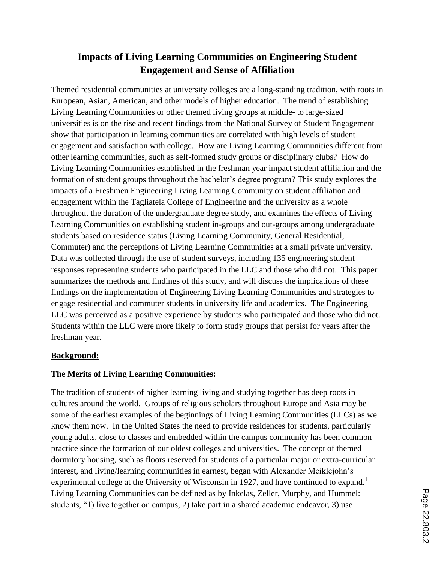# **Impacts of Living Learning Communities on Engineering Student Engagement and Sense of Affiliation**

Themed residential communities at university colleges are a long-standing tradition, with roots in European, Asian, American, and other models of higher education. The trend of establishing Living Learning Communities or other themed living groups at middle- to large-sized universities is on the rise and recent findings from the National Survey of Student Engagement show that participation in learning communities are correlated with high levels of student engagement and satisfaction with college. How are Living Learning Communities different from other learning communities, such as self-formed study groups or disciplinary clubs? How do Living Learning Communities established in the freshman year impact student affiliation and the formation of student groups throughout the bachelor's degree program? This study explores the impacts of a Freshmen Engineering Living Learning Community on student affiliation and engagement within the Tagliatela College of Engineering and the university as a whole throughout the duration of the undergraduate degree study, and examines the effects of Living Learning Communities on establishing student in-groups and out-groups among undergraduate students based on residence status (Living Learning Community, General Residential, Commuter) and the perceptions of Living Learning Communities at a small private university. Data was collected through the use of student surveys, including 135 engineering student responses representing students who participated in the LLC and those who did not. This paper summarizes the methods and findings of this study, and will discuss the implications of these findings on the implementation of Engineering Living Learning Communities and strategies to engage residential and commuter students in university life and academics. The Engineering LLC was perceived as a positive experience by students who participated and those who did not. Students within the LLC were more likely to form study groups that persist for years after the freshman year.

#### **Background:**

#### **The Merits of Living Learning Communities:**

The tradition of students of higher learning living and studying together has deep roots in cultures around the world. Groups of religious scholars throughout Europe and Asia may be some of the earliest examples of the beginnings of Living Learning Communities (LLCs) as we know them now. In the United States the need to provide residences for students, particularly young adults, close to classes and embedded within the campus community has been common practice since the formation of our oldest colleges and universities. The concept of themed dormitory housing, such as floors reserved for students of a particular major or extra-curricular interest, and living/learning communities in earnest, began with Alexander Meiklejohn's experimental college at the University of Wisconsin in 1927, and have continued to expand.<sup>1</sup> Living Learning Communities can be defined as by Inkelas, Zeller, Murphy, and Hummel: students, "1) live together on campus, 2) take part in a shared academic endeavor, 3) use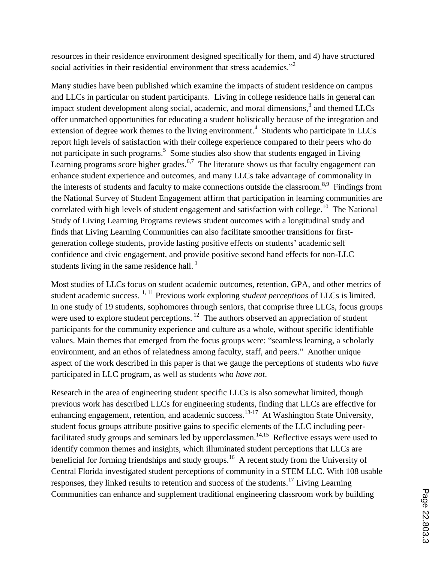resources in their residence environment designed specifically for them, and 4) have structured social activities in their residential environment that stress academics."<sup>2</sup>

Many studies have been published which examine the impacts of student residence on campus and LLCs in particular on student participants. Living in college residence halls in general can impact student development along social, academic, and moral dimensions, $3$  and themed LLCs offer unmatched opportunities for educating a student holistically because of the integration and extension of degree work themes to the living environment.<sup>4</sup> Students who participate in LLCs report high levels of satisfaction with their college experience compared to their peers who do not participate in such programs.<sup>5</sup> Some studies also show that students engaged in Living Learning programs score higher grades.<sup>6,7</sup> The literature shows us that faculty engagement can enhance student experience and outcomes, and many LLCs take advantage of commonality in the interests of students and faculty to make connections outside the classroom.<sup>8,9</sup> Findings from the National Survey of Student Engagement affirm that participation in learning communities are correlated with high levels of student engagement and satisfaction with college.<sup>10</sup> The National Study of Living Learning Programs reviews student outcomes with a longitudinal study and finds that Living Learning Communities can also facilitate smoother transitions for firstgeneration college students, provide lasting positive effects on students' academic self confidence and civic engagement, and provide positive second hand effects for non-LLC students living in the same residence hall.<sup>1</sup>

Most studies of LLCs focus on student academic outcomes, retention, GPA, and other metrics of student academic success.<sup>1, 11</sup> Previous work exploring *student perceptions* of LLCs is limited. In one study of 19 students, sophomores through seniors, that comprise three LLCs, focus groups were used to explore student perceptions.<sup>12</sup> The authors observed an appreciation of student participants for the community experience and culture as a whole, without specific identifiable values. Main themes that emerged from the focus groups were: "seamless learning, a scholarly environment, and an ethos of relatedness among faculty, staff, and peers." Another unique aspect of the work described in this paper is that we gauge the perceptions of students who *have* participated in LLC program, as well as students who *have not*.

Research in the area of engineering student specific LLCs is also somewhat limited, though previous work has described LLCs for engineering students, finding that LLCs are effective for enhancing engagement, retention, and academic success.<sup>13-17</sup> At Washington State University, student focus groups attribute positive gains to specific elements of the LLC including peerfacilitated study groups and seminars led by upperclassmen.<sup>14,15</sup> Reflective essays were used to identify common themes and insights, which illuminated student perceptions that LLCs are beneficial for forming friendships and study groups.<sup>16</sup> A recent study from the University of Central Florida investigated student perceptions of community in a STEM LLC. With 108 usable responses, they linked results to retention and success of the students.<sup>17</sup> Living Learning Communities can enhance and supplement traditional engineering classroom work by building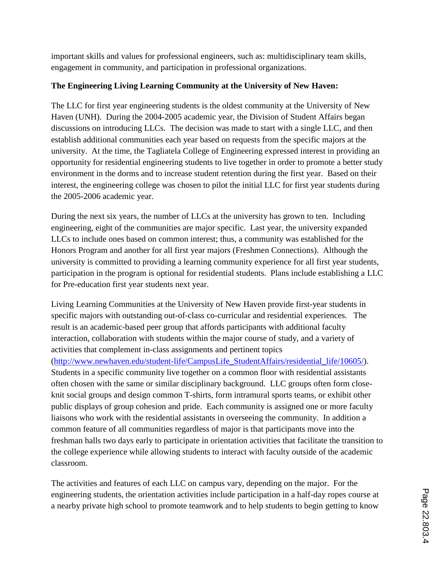important skills and values for professional engineers, such as: multidisciplinary team skills, engagement in community, and participation in professional organizations.

# **The Engineering Living Learning Community at the University of New Haven:**

The LLC for first year engineering students is the oldest community at the University of New Haven (UNH). During the 2004-2005 academic year, the Division of Student Affairs began discussions on introducing LLCs. The decision was made to start with a single LLC, and then establish additional communities each year based on requests from the specific majors at the university. At the time, the Tagliatela College of Engineering expressed interest in providing an opportunity for residential engineering students to live together in order to promote a better study environment in the dorms and to increase student retention during the first year. Based on their interest, the engineering college was chosen to pilot the initial LLC for first year students during the 2005-2006 academic year.

During the next six years, the number of LLCs at the university has grown to ten. Including engineering, eight of the communities are major specific. Last year, the university expanded LLCs to include ones based on common interest; thus, a community was established for the Honors Program and another for all first year majors (Freshmen Connections). Although the university is committed to providing a learning community experience for all first year students, participation in the program is optional for residential students. Plans include establishing a LLC for Pre-education first year students next year.

Living Learning Communities at the University of New Haven provide first-year students in specific majors with outstanding out-of-class co-curricular and residential experiences. The result is an academic-based peer group that affords participants with additional faculty interaction, collaboration with students within the major course of study, and a variety of activities that complement in-class assignments and pertinent topics

(http://www.newhaven.edu/student-life/CampusLife\_StudentAffairs/residential\_life/10605/). Students in a specific community live together on a common floor with residential assistants often chosen with the same or similar disciplinary background. LLC groups often form closeknit social groups and design common T-shirts, form intramural sports teams, or exhibit other public displays of group cohesion and pride. Each community is assigned one or more faculty liaisons who work with the residential assistants in overseeing the community. In addition a common feature of all communities regardless of major is that participants move into the freshman halls two days early to participate in orientation activities that facilitate the transition to the college experience while allowing students to interact with faculty outside of the academic classroom.

The activities and features of each LLC on campus vary, depending on the major. For the engineering students, the orientation activities include participation in a half-day ropes course at a nearby private high school to promote teamwork and to help students to begin getting to know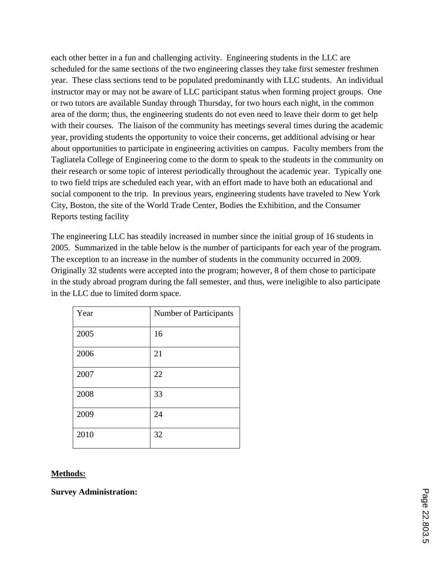each other better in a fun and challenging activity. Engineering students in the LLC are scheduled for the same sections of the two engineering classes they take first semester freshmen year. These class sections tend to be populated predominantly with LLC students. An individual instructor may or may not be aware of LLC participant status when forming project groups. One or two tutors are available Sunday through Thursday, for two hours each night, in the common area of the dorm; thus, the engineering students do not even need to leave their dorm to get help with their courses. The liaison of the community has meetings several times during the academic year, providing students the opportunity to voice their concerns, get additional advising or hear about opportunities to participate in engineering activities on campus. Faculty members from the Tagliatela College of Engineering come to the dorm to speak to the students in the community on their research or some topic of interest periodically throughout the academic year. Typically one to two field trips are scheduled each year, with an effort made to have both an educational and social component to the trip. In previous years, engineering students have traveled to New York City, Boston, the site of the World Trade Center, Bodies the Exhibition, and the Consumer Reports testing facility

The engineering LLC has steadily increased in number since the initial group of 16 students in 2005. Summarized in the table below is the number of participants for each year of the program. The exception to an increase in the number of students in the community occurred in 2009. Originally 32 students were accepted into the program; however, 8 of them chose to participate in the study abroad program during the fall semester, and thus, were ineligible to also participate in the LLC due to limited dorm space.

| Year | Number of Participants |
|------|------------------------|
| 2005 | 16                     |
| 2006 | 21                     |
| 2007 | 22                     |
| 2008 | 33                     |
| 2009 | 24                     |
| 2010 | 32                     |

#### **Methods:**

**Survey Administration:**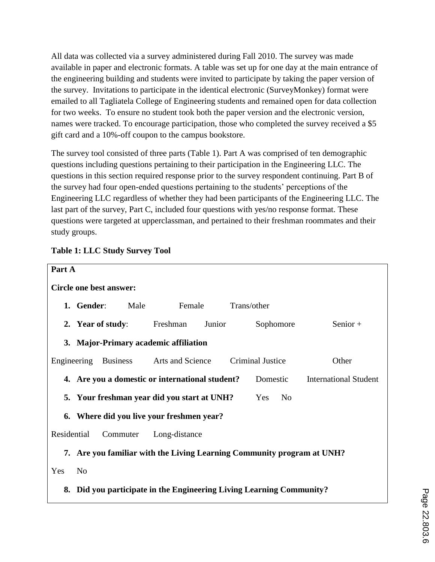All data was collected via a survey administered during Fall 2010. The survey was made available in paper and electronic formats. A table was set up for one day at the main entrance of the engineering building and students were invited to participate by taking the paper version of the survey. Invitations to participate in the identical electronic (SurveyMonkey) format were emailed to all Tagliatela College of Engineering students and remained open for data collection for two weeks. To ensure no student took both the paper version and the electronic version, names were tracked. To encourage participation, those who completed the survey received a \$5 gift card and a 10%-off coupon to the campus bookstore.

The survey tool consisted of three parts (Table 1). Part A was comprised of ten demographic questions including questions pertaining to their participation in the Engineering LLC. The questions in this section required response prior to the survey respondent continuing. Part B of the survey had four open-ended questions pertaining to the students' perceptions of the Engineering LLC regardless of whether they had been participants of the Engineering LLC. The last part of the survey, Part C, included four questions with yes/no response format. These questions were targeted at upperclassman, and pertained to their freshman roommates and their study groups.



# **Table 1: LLC Study Survey Tool**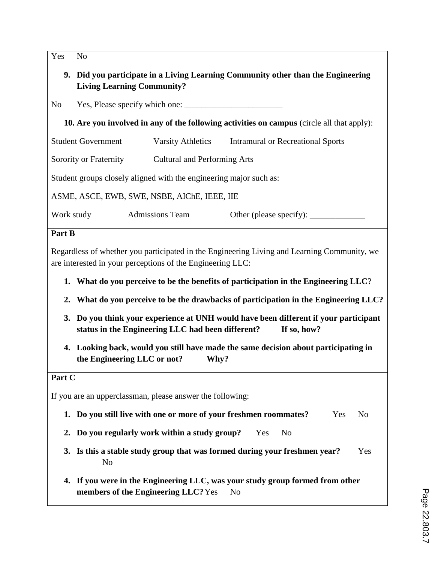Yes No

- **9. Did you participate in a Living Learning Community other than the Engineering Living Learning Community?**
- No Yes, Please specify which one:
	- **10. Are you involved in any of the following activities on campus** (circle all that apply):

Student Government Varsity Athletics Intramural or Recreational Sports

Sorority or Fraternity Cultural and Performing Arts

Student groups closely aligned with the engineering major such as:

ASME, ASCE, EWB, SWE, NSBE, AIChE, IEEE, IIE

Work study Admissions Team Other (please specify):

#### **Part B**

Regardless of whether you participated in the Engineering Living and Learning Community, we are interested in your perceptions of the Engineering LLC:

- **1. What do you perceive to be the benefits of participation in the Engineering LLC**?
- **2. What do you perceive to be the drawbacks of participation in the Engineering LLC?**
- **3. Do you think your experience at UNH would have been different if your participant status in the Engineering LLC had been different? If so, how?**
- **4. Looking back, would you still have made the same decision about participating in the Engineering LLC or not? Why?**

#### **Part C**

If you are an upperclassman, please answer the following:

- **1. Do you still live with one or more of your freshmen roommates?** Yes No
- **2. Do you regularly work within a study group?** Yes No
- **3. Is this a stable study group that was formed during your freshmen year?** Yes No
- **4. If you were in the Engineering LLC, was your study group formed from other members of the Engineering LLC?** Yes No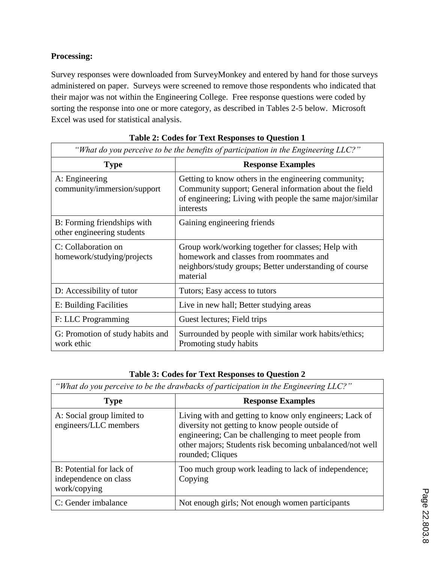# **Processing:**

Survey responses were downloaded from SurveyMonkey and entered by hand for those surveys administered on paper. Surveys were screened to remove those respondents who indicated that their major was not within the Engineering College. Free response questions were coded by sorting the response into one or more category, as described in Tables 2-5 below. Microsoft Excel was used for statistical analysis.

| "What do you perceive to be the benefits of participation in the Engineering LLC?" |                                                                                                                                                                                          |  |
|------------------------------------------------------------------------------------|------------------------------------------------------------------------------------------------------------------------------------------------------------------------------------------|--|
| <b>Type</b>                                                                        | <b>Response Examples</b>                                                                                                                                                                 |  |
| A: Engineering<br>community/immersion/support                                      | Getting to know others in the engineering community;<br>Community support; General information about the field<br>of engineering; Living with people the same major/similar<br>interests |  |
| B: Forming friendships with<br>other engineering students                          | Gaining engineering friends                                                                                                                                                              |  |
| C: Collaboration on<br>homework/studying/projects                                  | Group work/working together for classes; Help with<br>homework and classes from roommates and<br>neighbors/study groups; Better understanding of course<br>material                      |  |
| D: Accessibility of tutor                                                          | Tutors; Easy access to tutors                                                                                                                                                            |  |
| E: Building Facilities                                                             | Live in new hall; Better studying areas                                                                                                                                                  |  |
| F: LLC Programming                                                                 | Guest lectures; Field trips                                                                                                                                                              |  |
| G: Promotion of study habits and<br>work ethic                                     | Surrounded by people with similar work habits/ethics;<br>Promoting study habits                                                                                                          |  |

|  |  | Table 2: Codes for Text Responses to Question 1 |
|--|--|-------------------------------------------------|
|  |  |                                                 |

#### **Table 3: Codes for Text Responses to Question 2**

| "What do you perceive to be the drawbacks of participation in the Engineering LLC?" |                                                                                                                                                                                                                                                   |  |  |
|-------------------------------------------------------------------------------------|---------------------------------------------------------------------------------------------------------------------------------------------------------------------------------------------------------------------------------------------------|--|--|
| <b>Type</b>                                                                         | <b>Response Examples</b>                                                                                                                                                                                                                          |  |  |
| A: Social group limited to<br>engineers/LLC members                                 | Living with and getting to know only engineers; Lack of<br>diversity not getting to know people outside of<br>engineering; Can be challenging to meet people from<br>other majors; Students risk becoming unbalanced/not well<br>rounded; Cliques |  |  |
| B: Potential for lack of<br>independence on class<br>work/copying                   | Too much group work leading to lack of independence;<br>Copying                                                                                                                                                                                   |  |  |
| C: Gender imbalance                                                                 | Not enough girls; Not enough women participants                                                                                                                                                                                                   |  |  |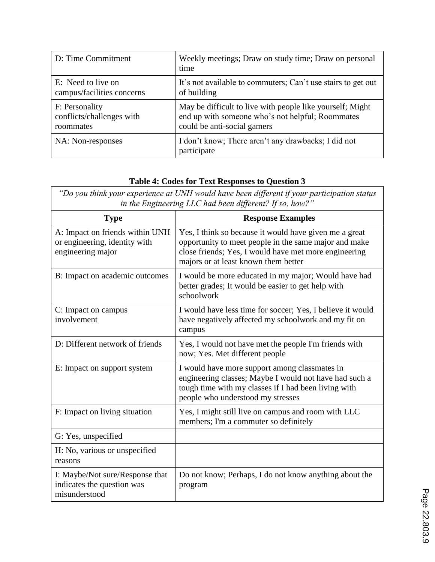| D: Time Commitment         | Weekly meetings; Draw on study time; Draw on personal<br>time      |
|----------------------------|--------------------------------------------------------------------|
| E: Need to live on         | It's not available to commuters; Can't use stairs to get out       |
| campus/facilities concerns | of building                                                        |
| F: Personality             | May be difficult to live with people like yourself; Might          |
| conflicts/challenges with  | end up with someone who's not helpful; Roommates                   |
| roommates                  | could be anti-social gamers                                        |
| NA: Non-responses          | I don't know; There aren't any drawbacks; I did not<br>participate |

# **Table 4: Codes for Text Responses to Question 3**

*"Do you think your experience at UNH would have been different if your participation status in the Engineering LLC had been different? If so, how?"*

| <b>Type</b>                                                                           | <b>Response Examples</b>                                                                                                                                                                                         |
|---------------------------------------------------------------------------------------|------------------------------------------------------------------------------------------------------------------------------------------------------------------------------------------------------------------|
| A: Impact on friends within UNH<br>or engineering, identity with<br>engineering major | Yes, I think so because it would have given me a great<br>opportunity to meet people in the same major and make<br>close friends; Yes, I would have met more engineering<br>majors or at least known them better |
| B: Impact on academic outcomes                                                        | I would be more educated in my major; Would have had<br>better grades; It would be easier to get help with<br>schoolwork                                                                                         |
| C: Impact on campus<br>involvement                                                    | I would have less time for soccer; Yes, I believe it would<br>have negatively affected my schoolwork and my fit on<br>campus                                                                                     |
| D: Different network of friends                                                       | Yes, I would not have met the people I'm friends with<br>now; Yes. Met different people                                                                                                                          |
| E: Impact on support system                                                           | I would have more support among classmates in<br>engineering classes; Maybe I would not have had such a<br>tough time with my classes if I had been living with<br>people who understood my stresses             |
| F: Impact on living situation                                                         | Yes, I might still live on campus and room with LLC<br>members; I'm a commuter so definitely                                                                                                                     |
| G: Yes, unspecified                                                                   |                                                                                                                                                                                                                  |
| H: No, various or unspecified<br>reasons                                              |                                                                                                                                                                                                                  |
| I: Maybe/Not sure/Response that<br>indicates the question was<br>misunderstood        | Do not know; Perhaps, I do not know anything about the<br>program                                                                                                                                                |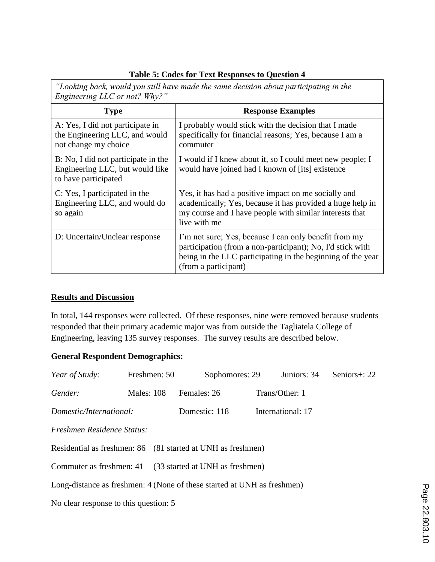#### **Table 5: Codes for Text Responses to Question 4**

*"Looking back, would you still have made the same decision about participating in the Engineering LLC or not? Why?"*

| <b>Type</b>                                                                                    | <b>Response Examples</b>                                                                                                                                                                                   |  |
|------------------------------------------------------------------------------------------------|------------------------------------------------------------------------------------------------------------------------------------------------------------------------------------------------------------|--|
| A: Yes, I did not participate in<br>the Engineering LLC, and would<br>not change my choice     | I probably would stick with the decision that I made<br>specifically for financial reasons; Yes, because I am a<br>commuter                                                                                |  |
| B: No, I did not participate in the<br>Engineering LLC, but would like<br>to have participated | I would if I knew about it, so I could meet new people; I<br>would have joined had I known of [its] existence                                                                                              |  |
| C: Yes, I participated in the<br>Engineering LLC, and would do<br>so again                     | Yes, it has had a positive impact on me socially and<br>academically; Yes, because it has provided a huge help in<br>my course and I have people with similar interests that<br>live with me               |  |
| D: Uncertain/Unclear response                                                                  | I'm not sure; Yes, because I can only benefit from my<br>participation (from a non-participant); No, I'd stick with<br>being in the LLC participating in the beginning of the year<br>(from a participant) |  |

### **Results and Discussion**

In total, 144 responses were collected. Of these responses, nine were removed because students responded that their primary academic major was from outside the Tagliatela College of Engineering, leaving 135 survey responses. The survey results are described below.

# **General Respondent Demographics:**

| Year of Study:                                           | Freshmen: 50      | Sophomores: 29                                                          | Juniors: 34       | Seniors $\pm$ : 22 |
|----------------------------------------------------------|-------------------|-------------------------------------------------------------------------|-------------------|--------------------|
| Gender:                                                  | <b>Males: 108</b> | Females: 26                                                             | Trans/Other: 1    |                    |
| Domestic/International:                                  |                   | Domestic: 118                                                           | International: 17 |                    |
| Freshmen Residence Status:                               |                   |                                                                         |                   |                    |
|                                                          |                   | Residential as freshmen: 86 (81 started at UNH as freshmen)             |                   |                    |
| Commuter as freshmen: 41 (33 started at UNH as freshmen) |                   |                                                                         |                   |                    |
|                                                          |                   | Long-distance as freshmen: 4 (None of these started at UNH as freshmen) |                   |                    |
| No clear response to this question: 5                    |                   |                                                                         |                   |                    |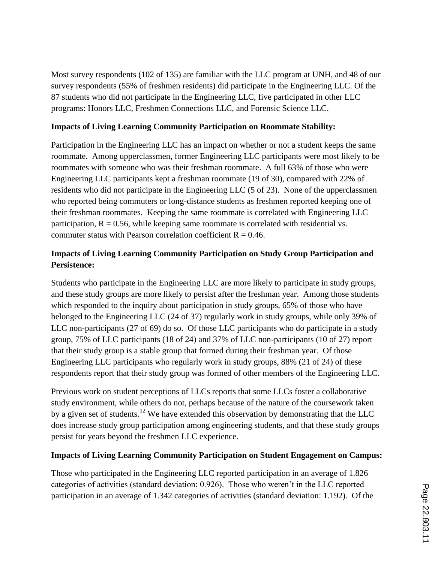Most survey respondents (102 of 135) are familiar with the LLC program at UNH, and 48 of our survey respondents (55% of freshmen residents) did participate in the Engineering LLC. Of the 87 students who did not participate in the Engineering LLC, five participated in other LLC programs: Honors LLC, Freshmen Connections LLC, and Forensic Science LLC.

#### **Impacts of Living Learning Community Participation on Roommate Stability:**

Participation in the Engineering LLC has an impact on whether or not a student keeps the same roommate. Among upperclassmen, former Engineering LLC participants were most likely to be roommates with someone who was their freshman roommate. A full 63% of those who were Engineering LLC participants kept a freshman roommate (19 of 30), compared with 22% of residents who did not participate in the Engineering LLC (5 of 23). None of the upperclassmen who reported being commuters or long-distance students as freshmen reported keeping one of their freshman roommates. Keeping the same roommate is correlated with Engineering LLC participation,  $R = 0.56$ , while keeping same roommate is correlated with residential vs. commuter status with Pearson correlation coefficient  $R = 0.46$ .

# **Impacts of Living Learning Community Participation on Study Group Participation and Persistence:**

Students who participate in the Engineering LLC are more likely to participate in study groups, and these study groups are more likely to persist after the freshman year. Among those students which responded to the inquiry about participation in study groups, 65% of those who have belonged to the Engineering LLC (24 of 37) regularly work in study groups, while only 39% of LLC non-participants (27 of 69) do so. Of those LLC participants who do participate in a study group, 75% of LLC participants (18 of 24) and 37% of LLC non-participants (10 of 27) report that their study group is a stable group that formed during their freshman year. Of those Engineering LLC participants who regularly work in study groups, 88% (21 of 24) of these respondents report that their study group was formed of other members of the Engineering LLC.

Previous work on student perceptions of LLCs reports that some LLCs foster a collaborative study environment, while others do not, perhaps because of the nature of the coursework taken by a given set of students.<sup>12</sup> We have extended this observation by demonstrating that the LLC does increase study group participation among engineering students, and that these study groups persist for years beyond the freshmen LLC experience.

# **Impacts of Living Learning Community Participation on Student Engagement on Campus:**

Those who participated in the Engineering LLC reported participation in an average of 1.826 categories of activities (standard deviation: 0.926). Those who weren't in the LLC reported participation in an average of 1.342 categories of activities (standard deviation: 1.192). Of the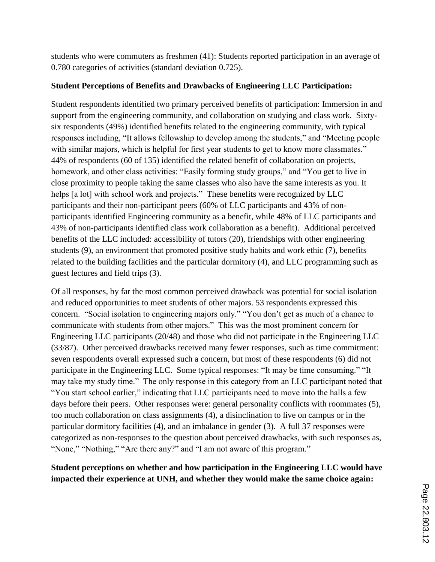students who were commuters as freshmen (41): Students reported participation in an average of 0.780 categories of activities (standard deviation 0.725).

### **Student Perceptions of Benefits and Drawbacks of Engineering LLC Participation:**

Student respondents identified two primary perceived benefits of participation: Immersion in and support from the engineering community, and collaboration on studying and class work. Sixtysix respondents (49%) identified benefits related to the engineering community, with typical responses including, "It allows fellowship to develop among the students," and "Meeting people with similar majors, which is helpful for first year students to get to know more classmates." 44% of respondents (60 of 135) identified the related benefit of collaboration on projects, homework, and other class activities: "Easily forming study groups," and "You get to live in close proximity to people taking the same classes who also have the same interests as you. It helps [a lot] with school work and projects." These benefits were recognized by LLC participants and their non-participant peers (60% of LLC participants and 43% of nonparticipants identified Engineering community as a benefit, while 48% of LLC participants and 43% of non-participants identified class work collaboration as a benefit). Additional perceived benefits of the LLC included: accessibility of tutors (20), friendships with other engineering students (9), an environment that promoted positive study habits and work ethic (7), benefits related to the building facilities and the particular dormitory (4), and LLC programming such as guest lectures and field trips (3).

Of all responses, by far the most common perceived drawback was potential for social isolation and reduced opportunities to meet students of other majors. 53 respondents expressed this concern. "Social isolation to engineering majors only." "You don't get as much of a chance to communicate with students from other majors." This was the most prominent concern for Engineering LLC participants (20/48) and those who did not participate in the Engineering LLC (33/87). Other perceived drawbacks received many fewer responses, such as time commitment: seven respondents overall expressed such a concern, but most of these respondents (6) did not participate in the Engineering LLC. Some typical responses: "It may be time consuming." "It may take my study time." The only response in this category from an LLC participant noted that "You start school earlier," indicating that LLC participants need to move into the halls a few days before their peers. Other responses were: general personality conflicts with roommates (5), too much collaboration on class assignments (4), a disinclination to live on campus or in the particular dormitory facilities (4), and an imbalance in gender (3). A full 37 responses were categorized as non-responses to the question about perceived drawbacks, with such responses as, "None," "Nothing," "Are there any?" and "I am not aware of this program."

**Student perceptions on whether and how participation in the Engineering LLC would have impacted their experience at UNH, and whether they would make the same choice again:**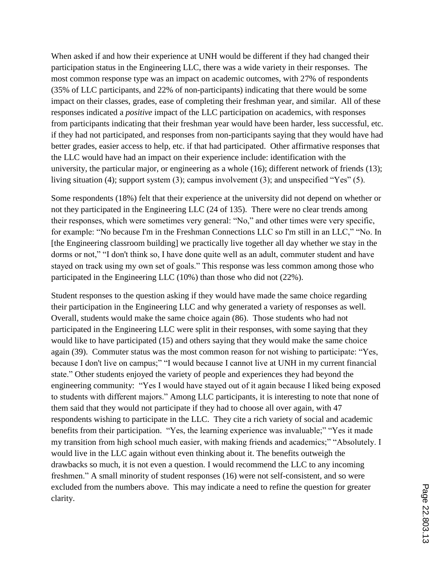When asked if and how their experience at UNH would be different if they had changed their participation status in the Engineering LLC, there was a wide variety in their responses. The most common response type was an impact on academic outcomes, with 27% of respondents (35% of LLC participants, and 22% of non-participants) indicating that there would be some impact on their classes, grades, ease of completing their freshman year, and similar. All of these responses indicated a *positive* impact of the LLC participation on academics, with responses from participants indicating that their freshman year would have been harder, less successful, etc. if they had not participated, and responses from non-participants saying that they would have had better grades, easier access to help, etc. if that had participated. Other affirmative responses that the LLC would have had an impact on their experience include: identification with the university, the particular major, or engineering as a whole (16); different network of friends (13); living situation (4); support system (3); campus involvement (3); and unspecified "Yes" (5).

Some respondents (18%) felt that their experience at the university did not depend on whether or not they participated in the Engineering LLC (24 of 135). There were no clear trends among their responses, which were sometimes very general: "No," and other times were very specific, for example: "No because I'm in the Freshman Connections LLC so I'm still in an LLC," "No. In [the Engineering classroom building] we practically live together all day whether we stay in the dorms or not," "I don't think so, I have done quite well as an adult, commuter student and have stayed on track using my own set of goals." This response was less common among those who participated in the Engineering LLC (10%) than those who did not (22%).

Student responses to the question asking if they would have made the same choice regarding their participation in the Engineering LLC and why generated a variety of responses as well. Overall, students would make the same choice again (86). Those students who had not participated in the Engineering LLC were split in their responses, with some saying that they would like to have participated (15) and others saying that they would make the same choice again (39). Commuter status was the most common reason for not wishing to participate: "Yes, because I don't live on campus;" "I would because I cannot live at UNH in my current financial state." Other students enjoyed the variety of people and experiences they had beyond the engineering community: "Yes I would have stayed out of it again because I liked being exposed to students with different majors." Among LLC participants, it is interesting to note that none of them said that they would not participate if they had to choose all over again, with 47 respondents wishing to participate in the LLC. They cite a rich variety of social and academic benefits from their participation. "Yes, the learning experience was invaluable;" "Yes it made my transition from high school much easier, with making friends and academics;" "Absolutely. I would live in the LLC again without even thinking about it. The benefits outweigh the drawbacks so much, it is not even a question. I would recommend the LLC to any incoming freshmen." A small minority of student responses (16) were not self-consistent, and so were excluded from the numbers above. This may indicate a need to refine the question for greater clarity.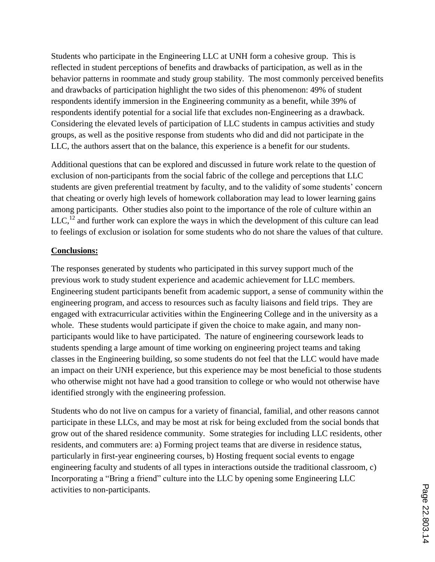Students who participate in the Engineering LLC at UNH form a cohesive group. This is reflected in student perceptions of benefits and drawbacks of participation, as well as in the behavior patterns in roommate and study group stability. The most commonly perceived benefits and drawbacks of participation highlight the two sides of this phenomenon: 49% of student respondents identify immersion in the Engineering community as a benefit, while 39% of respondents identify potential for a social life that excludes non-Engineering as a drawback. Considering the elevated levels of participation of LLC students in campus activities and study groups, as well as the positive response from students who did and did not participate in the LLC, the authors assert that on the balance, this experience is a benefit for our students.

Additional questions that can be explored and discussed in future work relate to the question of exclusion of non-participants from the social fabric of the college and perceptions that LLC students are given preferential treatment by faculty, and to the validity of some students' concern that cheating or overly high levels of homework collaboration may lead to lower learning gains among participants. Other studies also point to the importance of the role of culture within an  $LLC<sub>12</sub>$  and further work can explore the ways in which the development of this culture can lead to feelings of exclusion or isolation for some students who do not share the values of that culture.

# **Conclusions:**

The responses generated by students who participated in this survey support much of the previous work to study student experience and academic achievement for LLC members. Engineering student participants benefit from academic support, a sense of community within the engineering program, and access to resources such as faculty liaisons and field trips. They are engaged with extracurricular activities within the Engineering College and in the university as a whole. These students would participate if given the choice to make again, and many nonparticipants would like to have participated. The nature of engineering coursework leads to students spending a large amount of time working on engineering project teams and taking classes in the Engineering building, so some students do not feel that the LLC would have made an impact on their UNH experience, but this experience may be most beneficial to those students who otherwise might not have had a good transition to college or who would not otherwise have identified strongly with the engineering profession.

Students who do not live on campus for a variety of financial, familial, and other reasons cannot participate in these LLCs, and may be most at risk for being excluded from the social bonds that grow out of the shared residence community. Some strategies for including LLC residents, other residents, and commuters are: a) Forming project teams that are diverse in residence status, particularly in first-year engineering courses, b) Hosting frequent social events to engage engineering faculty and students of all types in interactions outside the traditional classroom, c) Incorporating a "Bring a friend" culture into the LLC by opening some Engineering LLC activities to non-participants.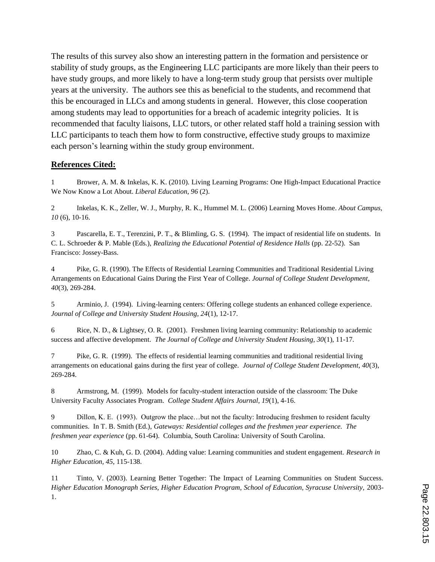The results of this survey also show an interesting pattern in the formation and persistence or stability of study groups, as the Engineering LLC participants are more likely than their peers to have study groups, and more likely to have a long-term study group that persists over multiple years at the university. The authors see this as beneficial to the students, and recommend that this be encouraged in LLCs and among students in general. However, this close cooperation among students may lead to opportunities for a breach of academic integrity policies. It is recommended that faculty liaisons, LLC tutors, or other related staff hold a training session with LLC participants to teach them how to form constructive, effective study groups to maximize each person's learning within the study group environment.

#### **References Cited:**

1 Brower, A. M. & Inkelas, K. K. (2010). Living Learning Programs: One High-Impact Educational Practice We Now Know a Lot About. *Liberal Education, 96* (2).

2 Inkelas, K. K., Zeller, W. J., Murphy, R. K., Hummel M. L. (2006) Learning Moves Home. *About Campus*, *10* (6), 10-16.

3 Pascarella, E. T., Terenzini, P. T., & Blimling, G. S. (1994). The impact of residential life on students. In C. L. Schroeder & P. Mable (Eds.), *Realizing the Educational Potential of Residence Halls* (pp. 22-52). San Francisco: Jossey-Bass.

4 Pike, G. R. (1990). The Effects of Residential Learning Communities and Traditional Residential Living Arrangements on Educational Gains During the First Year of College. *Journal of College Student Development, 40*(3), 269-284.

5 Arminio, J. (1994). Living-learning centers: Offering college students an enhanced college experience. *Journal of College and University Student Housing, 24*(1), 12-17.

6 Rice, N. D., & Lightsey, O. R. (2001). Freshmen living learning community: Relationship to academic success and affective development. *The Journal of College and University Student Housing, 30*(1), 11-17.

7 Pike, G. R. (1999). The effects of residential learning communities and traditional residential living arrangements on educational gains during the first year of college. *Journal of College Student Development, 40*(3), 269-284.

8 Armstrong, M. (1999). Models for faculty-student interaction outside of the classroom: The Duke University Faculty Associates Program. *College Student Affairs Journal, 19*(1), 4-16.

9 Dillon, K. E. (1993). Outgrow the place…but not the faculty: Introducing freshmen to resident faculty communities. In T. B. Smith (Ed.), *Gateways: Residential colleges and the freshmen year experience. The freshmen year experience* (pp. 61-64). Columbia, South Carolina: University of South Carolina.

10 Zhao, C. & Kuh, G. D. (2004). Adding value: Learning communities and student engagement. *Research in Higher Education, 45*, 115-138.

11 Tinto, V. (2003). Learning Better Together: The Impact of Learning Communities on Student Success. *Higher Education Monograph Series, Higher Education Program, School of Education, Syracuse University,* 2003- 1.